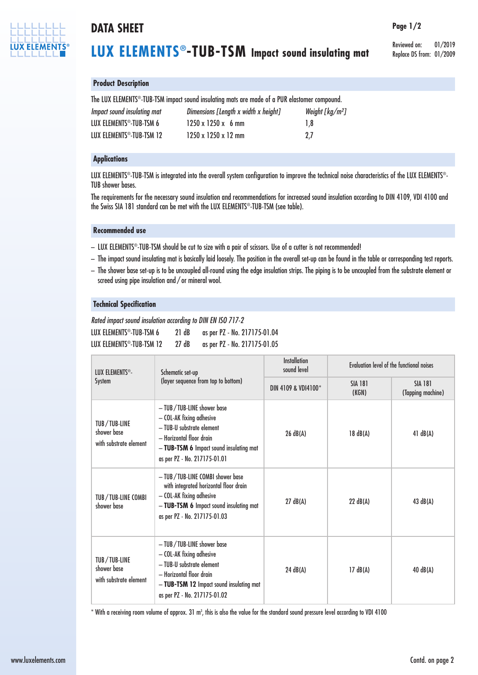

## **DATA SHEET**

# **LUX ELEMENTS®-TUB-TSM Impact sound insulating mat**

Reviewed on: 01/2019 Replace DS from: 01/2009

**Page 1/2**

### **Product Description**

The LUX ELEMENTS ®-TUB-TSM impact sound insulating mats are made of a PUR elastomer compound.

| Impact sound insulating mat           | Dimensions [Length x width x height] | Weight [ $kg/m2$ ] |
|---------------------------------------|--------------------------------------|--------------------|
| LUX ELEMENTS <sup>®</sup> -TUB-TSM 6  | $1250 \times 1250 \times 6$ mm       | 1.8                |
| LUX ELEMENTS <sup>®</sup> -TUB-TSM 12 | $1250 \times 1250 \times 12$ mm      | 2.7                |

### **Applications**

LUX ELEMENTS®-TUB-TSM is integrated into the overall system configuration to improve the technical noise characteristics of the LUX ELEMENTS®-TUB shower bases.

The requirements for the necessary sound insulation and recommendations for increased sound insulation according to DIN 4109, VDI 4100 and the Swiss SIA 181 standard can be met with the LUX ELEMENTS ®-TUB-TSM (see table).

#### **Recommended use**

- LUX ELEMENTS ®-TUB-TSM should be cut to size with a pair of scissors. Use of a cutter is not recommended!
- The impact sound insulating mat is basically laid loosely. The position in the overall set-up can be found in the table or corresponding test reports.
- The shower base set-up is to be uncoupled all-round using the edge insulation strips. The piping is to be uncoupled from the substrate element or screed using pipe insulation and / or mineral wool.

#### **Technical Specification**

*Rated impact sound insulation according to DIN EN ISO 717-2* LUX ELEMENTS<sup>®</sup>-TUB-TSM 6 21 dB as per PZ - No. 217175-01.04 LUX ELEMENTS<sup>®</sup>-TUB-TSM 12 27 dB as per PZ - No. 217175-01.05

|  | LUX ELEMENTS®-<br>System                              | Schematic set-up<br>(layer sequence from top to bottom)                                                                                                                                     | <b>Installation</b><br>sound level | Evaluation level of the functional noises |                                     |
|--|-------------------------------------------------------|---------------------------------------------------------------------------------------------------------------------------------------------------------------------------------------------|------------------------------------|-------------------------------------------|-------------------------------------|
|  |                                                       |                                                                                                                                                                                             | DIN 4109 & VDI4100*                | <b>SIA 181</b><br>(KGN)                   | <b>SIA 181</b><br>(Tapping machine) |
|  | TUB/TUB-LINE<br>shower base<br>with substrate element | - TUB/TUB-LINE shower base<br>- COL-AK fixing adhesive<br>- TUB-U substrate element<br>- Horizontal floor drain<br>- TUB-TSM 6 Impact sound insulating mat<br>as per PZ - No. 217175-01.01  | 26 dB(A)                           | 18 dB(A)                                  | 41 dB(A)                            |
|  | TUB/TUB-LINE COMBI<br>shower base                     | - TUB/TUB-LINE COMBI shower base<br>with integrated horizontal floor drain<br>- COL-AK fixing adhesive<br>- TUB-TSM 6 Impact sound insulating mat<br>as per PZ - No. 217175-01.03           | 27 dB(A)                           | 22 $dB(A)$                                | 43 $dB(A)$                          |
|  | TUB/TUB-LINE<br>shower base<br>with substrate element | - TUB/TUB-LINE shower base<br>- COL-AK fixing adhesive<br>- TUB-U substrate element<br>- Horizontal floor drain<br>- TUB-TSM 12 Impact sound insulating mat<br>as per PZ - No. 217175-01.02 | 24 dB(A)                           | 17 dB(A)                                  | 40 dB(A)                            |

 $^\ast$  With a receiving room volume of approx. 31 m $^3$ , this is also the value for the standard sound pressure level according to VDI 4100  $\,$